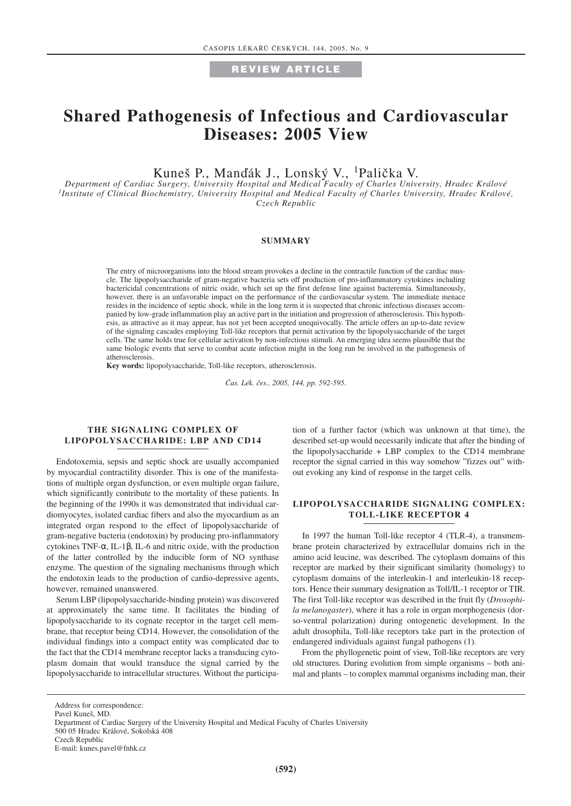### **REVIEW ARTICLE**

# **Shared Pathogenesis of Infectious and Cardiovascular Diseases: 2005 View**

Kuneš P., Manďák J., Lonský V., <sup>1</sup>Palička V.

*Department of Cardiac Surgery, University Hospital and Medical Faculty of Charles University, Hradec Králové 1Institute of Clinical Biochemistry, University Hospital and Medical Faculty of Charles University, Hradec Králové, Czech Republic*

#### **SUMMARY**

The entry of microorganisms into the blood stream provokes a decline in the contractile function of the cardiac muscle. The lipopolysaccharide of gram-negative bacteria sets off production of pro-inflammatory cytokines including bactericidal concentrations of nitric oxide, which set up the first defense line against bacteremia. Simultaneously, however, there is an unfavorable impact on the performance of the cardiovascular system. The immediate menace resides in the incidence of septic shock, while in the long term it is suspected that chronic infectious diseases accompanied by low-grade inflammation play an active part in the initiation and progression of atherosclerosis. This hypothesis, as attractive as it may appear, has not yet been accepted unequivocally. The article offers an up-to-date review of the signaling cascades employing Toll-like receptors that permit activation by the lipopolysaccharide of the target cells. The same holds true for cellular activation by non-infectious stimuli. An emerging idea seems plausible that the same biologic events that serve to combat acute infection might in the long run be involved in the pathogenesis of atherosclerosis.

**Key words:** lipopolysaccharide, Toll-like receptors, atherosclerosis.

*âas. Lék. ães., 2005, 144, pp. 592-595.*

#### **THE SIGNALING COMPLEX OF LIPOPOLYSACCHARIDE: LBP AND CD14**

Endotoxemia, sepsis and septic shock are usually accompanied by myocardial contractility disorder. This is one of the manifestations of multiple organ dysfunction, or even multiple organ failure, which significantly contribute to the mortality of these patients. In the beginning of the 1990s it was demonstrated that individual cardiomyocytes, isolated cardiac fibers and also the myocardium as an integrated organ respond to the effect of lipopolysaccharide of gram-negative bacteria (endotoxin) by producing pro-inflammatory cytokines TNF-α, IL-1β, IL-6 and nitric oxide, with the production of the latter controlled by the inducible form of NO synthase enzyme. The question of the signaling mechanisms through which the endotoxin leads to the production of cardio-depressive agents, however, remained unanswered.

Serum LBP (lipopolysaccharide-binding protein) was discovered at approximately the same time. It facilitates the binding of lipopolysaccharide to its cognate receptor in the target cell membrane, that receptor being CD14. However, the consolidation of the individual findings into a compact entity was complicated due to the fact that the CD14 membrane receptor lacks a transducing cytoplasm domain that would transduce the signal carried by the lipopolysaccharide to intracellular structures. Without the participation of a further factor (which was unknown at that time), the described set-up would necessarily indicate that after the binding of the lipopolysaccharide + LBP complex to the CD14 membrane receptor the signal carried in this way somehow "fizzes out" without evoking any kind of response in the target cells.

### **LIPOPOLYSACCHARIDE SIGNALING COMPLEX: TOLL-LIKE RECEPTOR 4**

In 1997 the human Toll-like receptor 4 (TLR-4), a transmembrane protein characterized by extracellular domains rich in the amino acid leucine, was described. The cytoplasm domains of this receptor are marked by their significant similarity (homology) to cytoplasm domains of the interleukin-1 and interleukin-18 receptors. Hence their summary designation as Toll/IL-1 receptor or TIR. The first Toll-like receptor was described in the fruit fly (*Drosophila melanogaster*), where it has a role in organ morphogenesis (dorso-ventral polarization) during ontogenetic development. In the adult drosophila, Toll-like receptors take part in the protection of endangered individuals against fungal pathogens (1).

From the phyllogenetic point of view, Toll-like receptors are very old structures. During evolution from simple organisms – both animal and plants – to complex mammal organisms including man, their

Address for correspondence:

Pavel Kuneš, MD.

Department of Cardiac Surgery of the University Hospital and Medical Faculty of Charles University

<sup>500 05</sup> Hradec Králové, Sokolská 408

Czech Republic

E-mail: kunes.pavel@fnhk.cz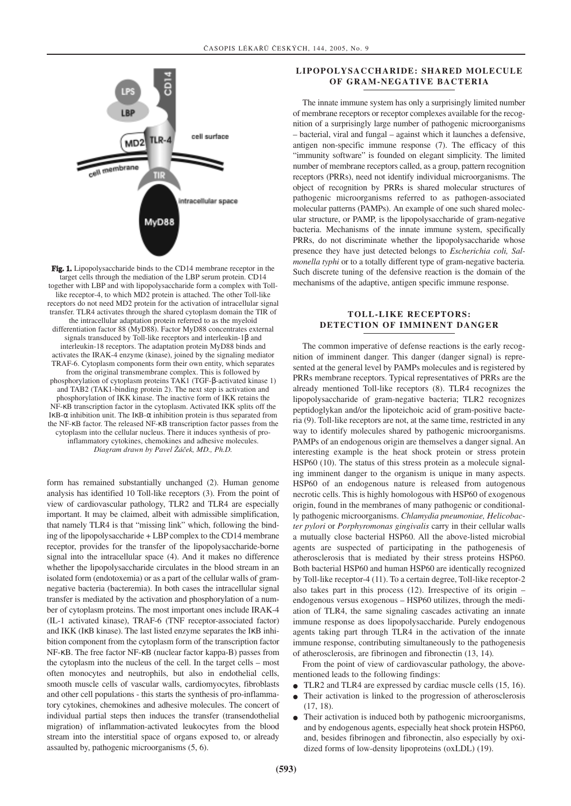

**Fig. 1.** Lipopolysaccharide binds to the CD14 membrane receptor in the target cells through the mediation of the LBP serum protein. CD14 together with LBP and with lipopolysaccharide form a complex with Tolllike receptor-4, to which MD2 protein is attached. The other Toll-like receptors do not need MD2 protein for the activation of intracellular signal transfer. TLR4 activates through the shared cytoplasm domain the TIR of the intracellular adaptation protein referred to as the myeloid differentiation factor 88 (MyD88). Factor MyD88 concentrates external signals transduced by Toll-like receptors and interleukin-1β and interleukin-18 receptors. The adaptation protein MyD88 binds and activates the IRAK-4 enzyme (kinase), joined by the signaling mediator TRAF-6. Cytoplasm components form their own entity, which separates from the original transmembrane complex. This is followed by phosphorylation of cytoplasm proteins TAK1 (TGF-β-activated kinase 1) and TAB2 (TAK1-binding protein 2). The next step is activation and phosphorylation of IKK kinase. The inactive form of IKK retains the NF-κB transcription factor in the cytoplasm. Activated IKK splits off the IκB-α inhibition unit. The IκB-α inhibition protein is thus separated from the NF-κB factor. The released NF-κB transcription factor passes from the cytoplasm into the cellular nucleus. There it induces synthesis of proinflammatory cytokines, chemokines and adhesive molecules. *Diagram drawn by Pavel Îáãek, MD., Ph.D.*

form has remained substantially unchanged (2). Human genome analysis has identified 10 Toll-like receptors (3). From the point of view of cardiovascular pathology, TLR2 and TLR4 are especially important. It may be claimed, albeit with admissible simplification, that namely TLR4 is that "missing link" which, following the binding of the lipopolysaccharide + LBP complex to the CD14 membrane receptor, provides for the transfer of the lipopolysaccharide-borne signal into the intracellular space (4). And it makes no difference whether the lipopolysaccharide circulates in the blood stream in an isolated form (endotoxemia) or as a part of the cellular walls of gramnegative bacteria (bacteremia). In both cases the intracellular signal transfer is mediated by the activation and phosphorylation of a number of cytoplasm proteins. The most important ones include IRAK-4 (IL-1 activated kinase), TRAF-6 (TNF receptor-associated factor) and IKK (IκB kinase). The last listed enzyme separates the IκB inhibition component from the cytoplasm form of the transcription factor NF-κB. The free factor NF-κB (nuclear factor kappa-B) passes from the cytoplasm into the nucleus of the cell. In the target cells – most often monocytes and neutrophils, but also in endothelial cells, smooth muscle cells of vascular walls, cardiomyocytes, fibroblasts and other cell populations - this starts the synthesis of pro-inflammatory cytokines, chemokines and adhesive molecules. The concert of individual partial steps then induces the transfer (transendothelial migration) of inflammation-activated leukocytes from the blood stream into the interstitial space of organs exposed to, or already assaulted by, pathogenic microorganisms (5, 6).

#### **LIPOPOLYSACCHARIDE: SHARED MOLECULE OF GRAM-NEGATIVE BACTERIA**

The innate immune system has only a surprisingly limited number of membrane receptors or receptor complexes available for the recognition of a surprisingly large number of pathogenic microorganisms – bacterial, viral and fungal – against which it launches a defensive, antigen non-specific immune response (7). The efficacy of this "immunity software" is founded on elegant simplicity. The limited number of membrane receptors called, as a group, pattern recognition receptors (PRRs), need not identify individual microorganisms. The object of recognition by PRRs is shared molecular structures of pathogenic microorganisms referred to as pathogen-associated molecular patterns (PAMPs). An example of one such shared molecular structure, or PAMP, is the lipopolysaccharide of gram-negative bacteria. Mechanisms of the innate immune system, specifically PRRs, do not discriminate whether the lipopolysaccharide whose presence they have just detected belongs to *Escherichia coli, Salmonella typhi* or to a totally different type of gram-negative bacteria*.* Such discrete tuning of the defensive reaction is the domain of the mechanisms of the adaptive, antigen specific immune response.

#### **TOLL-LIKE RECEPTORS: DETECTION OF IMMINENT DANGER**

The common imperative of defense reactions is the early recognition of imminent danger. This danger (danger signal) is represented at the general level by PAMPs molecules and is registered by PRRs membrane receptors. Typical representatives of PRRs are the already mentioned Toll-like receptors (8). TLR4 recognizes the lipopolysaccharide of gram-negative bacteria; TLR2 recognizes peptidoglykan and/or the lipoteichoic acid of gram-positive bacteria (9). Toll-like receptors are not, at the same time, restricted in any way to identify molecules shared by pathogenic microorganisms. PAMPs of an endogenous origin are themselves a danger signal. An interesting example is the heat shock protein or stress protein HSP60 (10). The status of this stress protein as a molecule signaling imminent danger to the organism is unique in many aspects. HSP60 of an endogenous nature is released from autogenous necrotic cells. This is highly homologous with HSP60 of exogenous origin, found in the membranes of many pathogenic or conditionally pathogenic microorganisms. *Chlamydia pneumoniae, Helicobacter pylori* or *Porphyromonas gingivalis* carry in their cellular walls a mutually close bacterial HSP60. All the above-listed microbial agents are suspected of participating in the pathogenesis of atherosclerosis that is mediated by their stress proteins HSP60. Both bacterial HSP60 and human HSP60 are identically recognized by Toll-like receptor-4 (11). To a certain degree, Toll-like receptor-2 also takes part in this process (12). Irrespective of its origin – endogenous versus exogenous – HSP60 utilizes, through the mediation of TLR4, the same signaling cascades activating an innate immune response as does lipopolysaccharide. Purely endogenous agents taking part through TLR4 in the activation of the innate immune response, contributing simultaneously to the pathogenesis of atherosclerosis, are fibrinogen and fibronectin (13, 14)*.*

From the point of view of cardiovascular pathology, the abovementioned leads to the following findings:

- TLR2 and TLR4 are expressed by cardiac muscle cells (15, 16).
- Their activation is linked to the progression of atherosclerosis (17, 18).
- Their activation is induced both by pathogenic microorganisms, and by endogenous agents, especially heat shock protein HSP60, and, besides fibrinogen and fibronectin, also especially by oxidized forms of low-density lipoproteins (oxLDL) (19).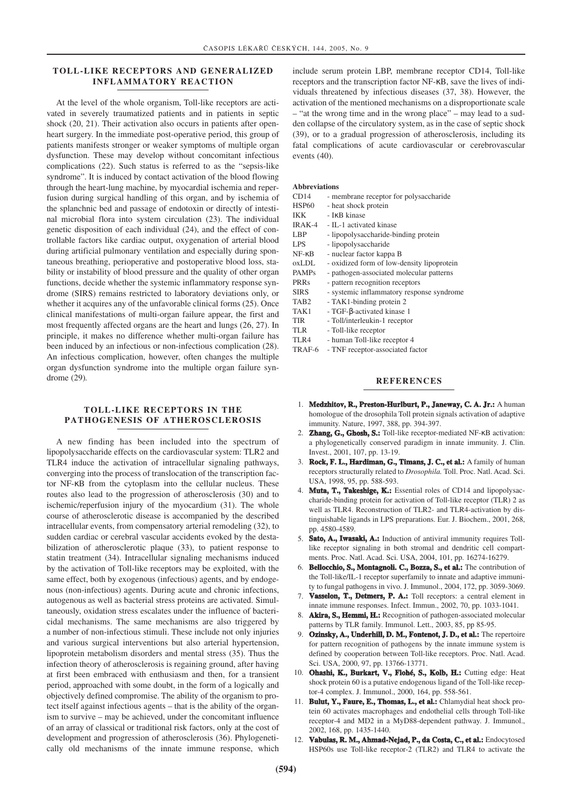#### **TOLL-LIKE RECEPTORS AND GENERALIZED INFLAMMATORY REACTION**

At the level of the whole organism, Toll-like receptors are activated in severely traumatized patients and in patients in septic shock (20, 21). Their activation also occurs in patients after openheart surgery. In the immediate post-operative period, this group of patients manifests stronger or weaker symptoms of multiple organ dysfunction. These may develop without concomitant infectious complications (22). Such status is referred to as the "sepsis-like syndrome". It is induced by contact activation of the blood flowing through the heart-lung machine, by myocardial ischemia and reperfusion during surgical handling of this organ, and by ischemia of the splanchnic bed and passage of endotoxin or directly of intestinal microbial flora into system circulation (23). The individual genetic disposition of each individual (24), and the effect of controllable factors like cardiac output, oxygenation of arterial blood during artificial pulmonary ventilation and especially during spontaneous breathing, perioperative and postoperative blood loss, stability or instability of blood pressure and the quality of other organ functions, decide whether the systemic inflammatory response syndrome (SIRS) remains restricted to laboratory deviations only, or whether it acquires any of the unfavorable clinical forms (25). Once clinical manifestations of multi-organ failure appear, the first and most frequently affected organs are the heart and lungs (26, 27). In principle, it makes no difference whether multi-organ failure has been induced by an infectious or non-infectious complication (28). An infectious complication, however, often changes the multiple organ dysfunction syndrome into the multiple organ failure syndrome (29)*.*

## **TOLL-LIKE RECEPTORS IN THE PATHOGENESIS OF ATHEROSCLEROSIS**

A new finding has been included into the spectrum of lipopolysaccharide effects on the cardiovascular system: TLR2 and TLR4 induce the activation of intracellular signaling pathways, converging into the process of translocation of the transcription factor NF-κB from the cytoplasm into the cellular nucleus. These routes also lead to the progression of atherosclerosis (30) and to ischemic/reperfusion injury of the myocardium (31). The whole course of atherosclerotic disease is accompanied by the described intracellular events, from compensatory arterial remodeling (32), to sudden cardiac or cerebral vascular accidents evoked by the destabilization of atherosclerotic plaque (33), to patient response to statin treatment (34). Intracellular signaling mechanisms induced by the activation of Toll-like receptors may be exploited, with the same effect, both by exogenous (infectious) agents, and by endogenous (non-infectious) agents. During acute and chronic infections, autogenous as well as bacterial stress proteins are activated. Simultaneously, oxidation stress escalates under the influence of bactericidal mechanisms. The same mechanisms are also triggered by a number of non-infectious stimuli. These include not only injuries and various surgical interventions but also arterial hypertension, lipoprotein metabolism disorders and mental stress (35). Thus the infection theory of atherosclerosis is regaining ground, after having at first been embraced with enthusiasm and then, for a transient period, approached with some doubt, in the form of a logically and objectively defined compromise. The ability of the organism to protect itself against infectious agents – that is the ability of the organism to survive – may be achieved, under the concomitant influence of an array of classical or traditional risk factors, only at the cost of development and progression of atherosclerosis (36). Phylogenetically old mechanisms of the innate immune response, which

include serum protein LBP, membrane receptor CD14, Toll-like receptors and the transcription factor NF-κB, save the lives of individuals threatened by infectious diseases (37, 38). However, the activation of the mentioned mechanisms on a disproportionate scale – "at the wrong time and in the wrong place" – may lead to a sudden collapse of the circulatory system, as in the case of septic shock (39), or to a gradual progression of atherosclerosis, including its fatal complications of acute cardiovascular or cerebrovascular events (40).

#### **Abbreviations**

CD14 - membrane receptor for polysaccharide

| <b>HSP60</b>     | - heat shock protein                       |
|------------------|--------------------------------------------|
| IKK              | - IKB kinase                               |
| IRAK-4           | - IL-1 activated kinase                    |
| LBP              | - lipopolysaccharide-binding protein       |
| LPS.             | - lipopolysaccharide                       |
| $NF - \kappa B$  | - nuclear factor kappa B                   |
| oxLDL            | - oxidized form of low-density lipoprotein |
| <b>PAMPs</b>     | - pathogen-associated molecular patterns   |
| PRRs             | - pattern recognition receptors            |
| <b>SIRS</b>      | - systemic inflammatory response syndrome  |
| TAB <sub>2</sub> | - TAK1-binding protein 2                   |
| TAK1             | - TGF-β-activated kinase 1                 |
| TIR              | - Toll/interleukin-1 receptor              |
| TLR.             | - Toll-like receptor                       |
| TLR4             | - human Toll-like receptor 4               |
| TRAF-6           | - TNF receptor-associated factor           |
|                  |                                            |

#### **REFERENCES**

- 1. **Medzhitov, R., Preston-Hurlburt, P., Janeway, C. A. Jr.:** A human homologue of the drosophila Toll protein signals activation of adaptive immunity. Nature, 1997, 388, pp. 394-397.
- 2. **Zhang, G., Ghosh, S.:** Toll-like receptor-mediated NF-κB activation: a phylogenetically conserved paradigm in innate immunity. J. Clin. Invest., 2001, 107, pp. 13-19.
- 3. **Rock, F. L., Hardiman, G., Timans, J. C., et al.:** A family of human receptors structurally related to *Drosophila.* Toll. Proc. Natl. Acad. Sci. USA, 1998, 95, pp. 588-593.
- 4. **Muta, T., Takeshige, K.:** Essential roles of CD14 and lipopolysaccharide-binding protein for activation of Toll-like receptor (TLR) 2 as well as TLR4. Reconstruction of TLR2- and TLR4-activation by distinguishable ligands in LPS preparations. Eur. J. Biochem., 2001, 268, pp. 4580-4589.
- 5. **Sato, A., Iwasaki, A.:** Induction of antiviral immunity requires Tolllike receptor signaling in both stromal and dendritic cell compartments. Proc. Natl. Acad. Sci. USA, 2004, 101, pp. 16274-16279.
- 6. **Bellocchio, S., Montagnoli. C., Bozza, S., et al.:** The contribution of the Toll-like/IL-1 receptor superfamily to innate and adaptive immunity to fungal pathogens in vivo. J. Immunol., 2004, 172, pp. 3059-3069.
- 7. **Vasselon, T., Detmers, P. A.:** Toll receptors: a central element in innate immune responses. Infect. Immun., 2002, 70, pp. 1033-1041.
- 8. **Akira, S., Hemmi, H.:** Recognition of pathogen-associated molecular patterns by TLR family. Immunol. Lett., 2003, 85, pp 85-95.
- 9. **Ozinsky, A., Underhill, D. M., Fontenot, J. D., et al.:** The repertoire for pattern recognition of pathogens by the innate immune system is defined by cooperation between Toll-like receptors. Proc. Natl. Acad. Sci. USA, 2000, 97, pp. 13766-13771.
- 10. **Ohashi, K., Burkart, V., Flohé, S., Kolb, H.:** Cutting edge: Heat shock protein 60 is a putative endogenous ligand of the Toll-like receptor-4 complex. J. Immunol., 2000, 164, pp. 558-561.
- 11. **Bulut, Y., Faure, E., Thomas, L., et al.:** Chlamydial heat shock protein 60 activates macrophages and endothelial cells through Toll-like receptor-4 and MD2 in a MyD88-dependent pathway. J. Immunol., 2002, 168, pp. 1435-1440.
- 12. **Vabulas, R. M., Ahmad-Nejad, P., da Costa, C., et al.:** Endocytosed HSP60s use Toll-like receptor-2 (TLR2) and TLR4 to activate the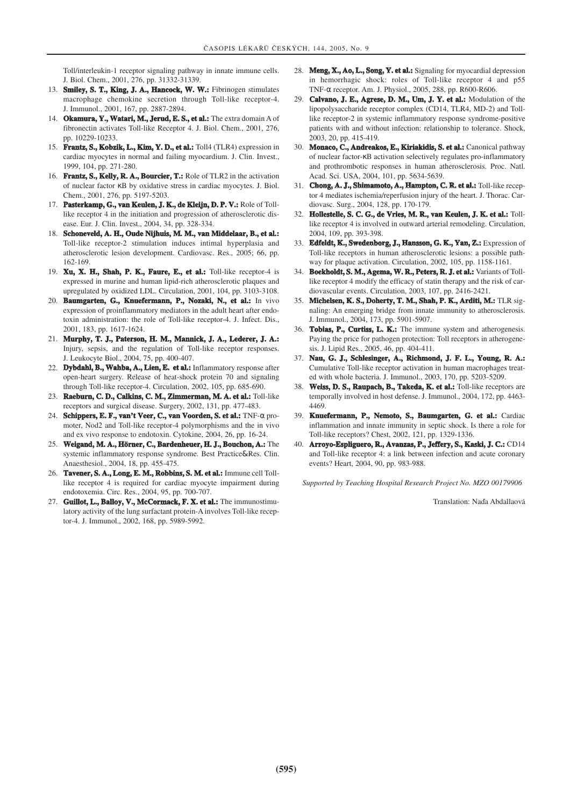Toll/interleukin-1 receptor signaling pathway in innate immune cells. J. Biol. Chem., 2001, 276, pp. 31332-31339.

- 13. **Smiley, S. T., King, J. A., Hancock, W. W.:** Fibrinogen stimulates macrophage chemokine secretion through Toll-like receptor-4. J. Immunol., 2001, 167, pp. 2887-2894.
- 14. **Okamura, Y., Watari, M., Jerud, E. S., et al.:** The extra domain A of fibronectin activates Toll-like Receptor 4. J. Biol. Chem., 2001, 276, pp. 10229-10233.
- 15. **Frantz, S., Kobzik, L., Kim, Y. D., et al.:** Toll4 (TLR4) expression in cardiac myocytes in normal and failing myocardium. J. Clin. Invest., 1999, 104, pp. 271-280.
- 16. **Frantz, S., Kelly, R. A., Bourcier, T.:** Role of TLR2 in the activation of nuclear factor κB by oxidative stress in cardiac myocytes. J. Biol. Chem., 2001, 276, pp. 5197-5203.
- 17. **Pasterkamp, G., van Keulen, J. K., de Kleijn, D. P. V.:** Role of Tolllike receptor 4 in the initiation and progression of atherosclerotic disease. Eur. J. Clin. Invest., 2004, 34, pp. 328-334.
- 18. **Schoneveld, A. H., Oude Nijhuis, M. M., van Middelaar, B., et al.:** Toll-like receptor-2 stimulation induces intimal hyperplasia and atherosclerotic lesion development. Cardiovasc. Res., 2005; 66, pp. 162-169.
- 19. **Xu, X. H., Shah, P. K., Faure, E., et al.:** Toll-like receptor-4 is expressed in murine and human lipid-rich atherosclerotic plaques and upregulated by oxidized LDL. Circulation, 2001, 104, pp. 3103-3108.
- 20. **Baumgarten, G., Knuefermann, P., Nozaki, N., et al.:** In vivo expression of proinflammatory mediators in the adult heart after endotoxin administration: the role of Toll-like receptor-4. J. Infect. Dis., 2001, 183, pp. 1617-1624.
- 21. **Murphy, T. J., Paterson, H. M., Mannick, J. A., Lederer, J. A.:** Injury, sepsis, and the regulation of Toll-like receptor responses. J. Leukocyte Biol., 2004, 75, pp. 400-407.
- 22. **Dybdahl, B., Wahba, A., Lien, E. et al.:** Inflammatory response after open-heart surgery. Release of heat-shock protein 70 and signaling through Toll-like receptor-4. Circulation, 2002, 105, pp. 685-690.
- 23. **Raeburn, C. D., Calkins, C. M., Zimmerman, M. A. et al.:** Toll-like receptors and surgical disease. Surgery, 2002, 131, pp. 477-483.
- 24. **Schippers, E. F., van't Veer, C., van Voorden, S. et al.:** TNF-α promoter, Nod2 and Toll-like receptor-4 polymorphisms and the in vivo and ex vivo response to endotoxin. Cytokine, 2004, 26, pp. 16-24.
- 25. **Weigand, M. A., Hörner, C., Bardenheuer, H. J., Bouchon, A.:** The systemic inflammatory response syndrome. Best Practice&Res. Clin. Anaesthesiol., 2004, 18, pp. 455-475.
- 26. **Tavener, S. A., Long, E. M., Robbins, S. M. et al.:** Immune cell Tolllike receptor 4 is required for cardiac myocyte impairment during endotoxemia. Circ. Res., 2004, 95, pp. 700-707.
- 27. **Guillot, L., Balloy, V., McCormack, F. X. et al.:** The immunostimulatory activity of the lung surfactant protein-A involves Toll-like receptor-4. J. Immunol., 2002, 168, pp. 5989-5992.
- 28. **Meng, X., Ao, L., Song, Y. et al.:** Signaling for myocardial depression in hemorrhagic shock: roles of Toll-like receptor 4 and p55 TNF-α receptor. Am. J. Physiol., 2005, 288, pp. R600-R606.
- 29. **Calvano, J. E., Agrese, D. M., Um, J. Y. et al.:** Modulation of the lipopolysaccharide receptor complex (CD14, TLR4, MD-2) and Tolllike receptor-2 in systemic inflammatory response syndrome-positive patients with and without infection: relationship to tolerance. Shock, 2003, 20, pp. 415-419.
- 30. **Monaco, C., Andreakos, E., Kiriakidis, S. et al.:** Canonical pathway of nuclear factor-κB activation selectively regulates pro-inflammatory and prothrombotic responses in human atherosclerosis. Proc. Natl. Acad. Sci. USA, 2004, 101, pp. 5634-5639.
- 31. **Chong, A. J., Shimamoto, A., Hampton, C. R. et al.:** Toll-like receptor 4 mediates ischemia/reperfusion injury of the heart. J. Thorac. Cardiovasc. Surg., 2004, 128, pp. 170-179.
- 32. **Hollestelle, S. C. G., de Vries, M. R., van Keulen, J. K. et al.:** Tolllike receptor 4 is involved in outward arterial remodeling. Circulation, 2004, 109, pp. 393-398.
- 33. **Edfeldt, K., Swedenborg, J., Hansson, G. K., Yan, Z.:** Expression of Toll-like receptors in human atherosclerotic lesions: a possible pathway for plaque activation. Circulation, 2002, 105, pp. 1158-1161.
- 34. **Boekholdt, S. M., Agema, W. R., Peters, R. J. et al.:** Variants of Tolllike receptor 4 modify the efficacy of statin therapy and the risk of cardiovascular events. Circulation, 2003, 107, pp. 2416-2421.
- 35. **Michelsen, K. S., Doherty, T. M., Shah, P. K., Arditi, M.:** TLR signaling: An emerging bridge from innate immunity to atherosclerosis. J. Immunol., 2004, 173, pp. 5901-5907.
- 36. **Tobias, P., Curtiss, L. K.:** The immune system and atherogenesis. Paying the price for pathogen protection: Toll receptors in atherogenesis. J. Lipid Res., 2005, 46, pp. 404-411.
- 37. **Nau, G. J., Schlesinger, A., Richmond, J. F. L., Young, R. A.:** Cumulative Toll-like receptor activation in human macrophages treated with whole bacteria. J. Immunol., 2003, 170, pp. 5203-5209.
- 38. **Weiss, D. S., Raupach, B., Takeda, K. et al.:** Toll-like receptors are temporally involved in host defense. J. Immunol., 2004, 172, pp. 4463- 4469.
- 39. **Knuefermann, P., Nemoto, S., Baumgarten, G. et al.:** Cardiac inflammation and innate immunity in septic shock. Is there a role for Toll-like receptors? Chest, 2002, 121, pp. 1329-1336.
- 40. **Arroyo-Espliguero, R., Avanzas, P., Jeffery, S., Kaski, J. C.:** CD14 and Toll-like receptor 4: a link between infection and acute coronary events? Heart, 2004, 90, pp. 983-988.

*Supported by Teaching Hospital Research Project No. MZO 00179906*

Translation: Nada Abdallaová